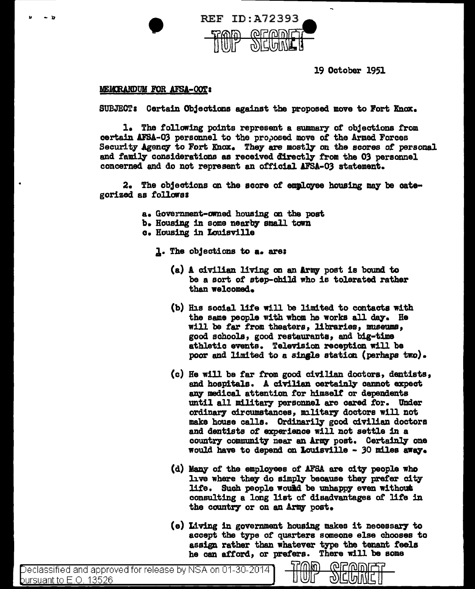

19 October 1951

## **MEMORANDUM FOR AFSA-OOT:**

•

SUBJECT: Certain Objections against the proposed move to Fort Knox.

l. The following points represent a summary of objections from certain AFSA-03 personnel to the proposed move of the Armed Forces Security Agency to Fort Knox. They are mostly on the scores of personal and family considerations as received directly from the 03 personnel concerned and do not represent an official AFSA-03 statement.

 $2.$  The objections on the score of employee housing may be categorized as follawss

- a. Government-anied housing cm the post
- b. Housing in some nearby small town
- c. Housing in Louisville
	- 1. The objections to a. are:
		- $(a)$  A civilian living on an Army post is bound to be a sort of step-child who is tolerated rather than welcomed.
		- $(b)$  His social life will be limited to contacts with the same people with whom he works all day. He will be far from theaters, libraries, museums, good schools, good restaurants, and big-time athletic events. Television reception will be poor and limited to a single station (perhaps  $tr\omega$ ).
		- (c) He will be far from good civilian doctors, dentists, and hospitals. A civilian certainly cannot expect any medical attention for himself or dependents until all military personnel are cared for. Under ordinary circumstances, military doctors will not make house calla. Ordinarily good civilian doctors and dentists of experience will not settle in a country community near an Army post. Certainly one would have to depend on Louisville - 30 miles away.
		- (d) Many of the employees of AFSA are city people who live where they do simply because they prefer city life. Such people would be unhappy even without consulting a long list or disadvantages *ot* lite in the country or on an Army post.
		- $(e)$  Living in government housing makes it necessary to accept the type of quarters someone else chooses to assign rather than whatever type the tenant feels he can afford, or prefers. There will be some

ெறிவி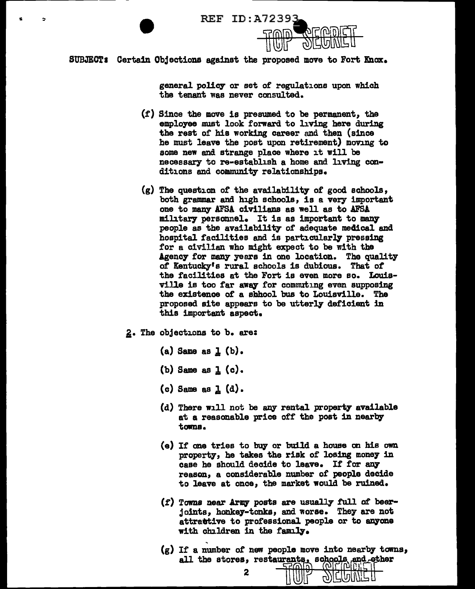REF ID:A72393



------------- -

general policy or set of regulations upon which the tenant was never consulted.

- (f) Since the move is presumed to be permanent, the employee must look forward to living here during the rest of his working career and then (since he must leave the post upon retirement) moving to some new and strange place where it will be necessary to re-establish a home and living conditions and community relationships.
- $(g)$  The question of the availability of good schools, both grammar and high schools, is a very important one to many AFSA civilians as well as to AFSA military personnel. It is as important to many people as the availability of adequate medical and hospital facilities and is particularly pressing for a civilian who might expect to be with the Agency for many years in one location. The quality of Kentucky's rural schools is dubious. That of the facilities at the Fort is even more so. Louisville is too far away for commuting even supposing the existence of a shhool bus to Louisville. The proposed site appears to be utterly deficient in this important aspect.
- 2. The objections to b. are:
	- $(a)$  Same as  $1(b)$ .
	- (b) Same as  $1$  (c).
	- $(c)$  Same as  $I_{s}$   $(d)$ .
	- $(d)$  There will not be any rental property available at a reasonable price off the post in nearby towns.
	- $(e)$  If one tries to buy or build a house on his own property, he takes the risk of losing money in case he should decide to leave. If for any reason, a considerable number of people decide to leave at once, the market would be ruined.
	- $(f)$  Towns near Army posts are usually full of beerjoints, honka7-tonka, and worse. They are not attrattive to professional people or to anyone with children in the family.
	- (g) If a number *ot* new people move into nearby towns, all - stores~ restal@~ *·mr*